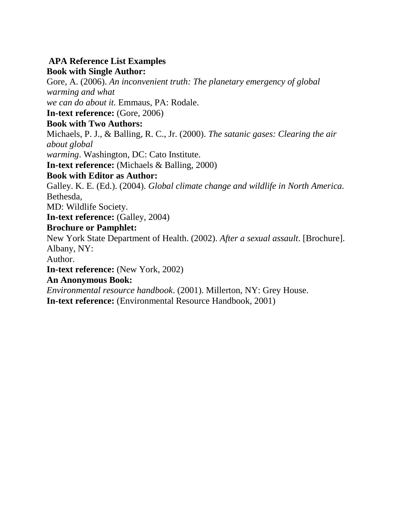# **APA Reference List Examples**

#### **Book with Single Author:**

Gore, A. (2006). *An inconvenient truth: The planetary emergency of global warming and what we can do about it.* Emmaus, PA: Rodale.

**In-text reference:** (Gore, 2006)

#### **Book with Two Authors:**

Michaels, P. J., & Balling, R. C., Jr. (2000). *The satanic gases: Clearing the air about global* 

*warming*. Washington, DC: Cato Institute.

**In-text reference:** (Michaels & Balling, 2000)

# **Book with Editor as Author:**

Galley. K. E. (Ed.). (2004). *Global climate change and wildlife in North America.*  Bethesda,

MD: Wildlife Society.

**In-text reference:** (Galley, 2004)

# **Brochure or Pamphlet:**

New York State Department of Health. (2002). *After a sexual assault*. [Brochure]. Albany, NY:

Author.

**In-text reference:** (New York, 2002)

#### **An Anonymous Book:**

*Environmental resource handbook*. (2001). Millerton, NY: Grey House. **In-text reference:** (Environmental Resource Handbook, 2001)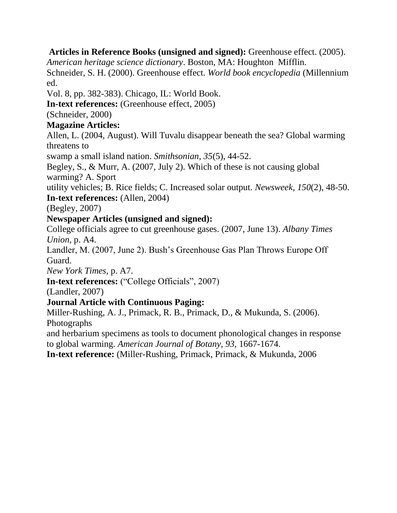#### **Articles in Reference Books (unsigned and signed):** Greenhouse effect. (2005).

*American heritage science dictionary*. Boston, MA: Houghton Mifflin. Schneider, S. H. (2000). Greenhouse effect. *World book encyclopedia* (Millennium ed.

Vol. 8, pp. 382-383). Chicago, IL: World Book.

**In-text references:** (Greenhouse effect, 2005)

(Schneider, 2000)

# **Magazine Articles:**

Allen, L. (2004, August). Will Tuvalu disappear beneath the sea? Global warming threatens to

swamp a small island nation. *Smithsonian, 35*(5), 44-52.

Begley, S., & Murr, A. (2007, July 2). Which of these is not causing global warming? A. Sport

utility vehicles; B. Rice fields; C. Increased solar output. *Newsweek, 150*(2), 48-50. **In-text references:** (Allen, 2004)

(Begley, 2007)

# **Newspaper Articles (unsigned and signed):**

College officials agree to cut greenhouse gases. (2007, June 13). *Albany Times Union,* p. A4.

Landler, M. (2007, June 2). Bush's Greenhouse Gas Plan Throws Europe Off Guard.

*New York Times,* p. A7.

**In-text references:** ("College Officials", 2007)

(Landler, 2007)

# **Journal Article with Continuous Paging:**

Miller-Rushing, A. J., Primack, R. B., Primack, D., & Mukunda, S. (2006). Photographs

and herbarium specimens as tools to document phonological changes in response to global warming. *American Journal of Botany, 93,* 1667-1674.

**In-text reference:** (Miller-Rushing, Primack, Primack, & Mukunda, 2006